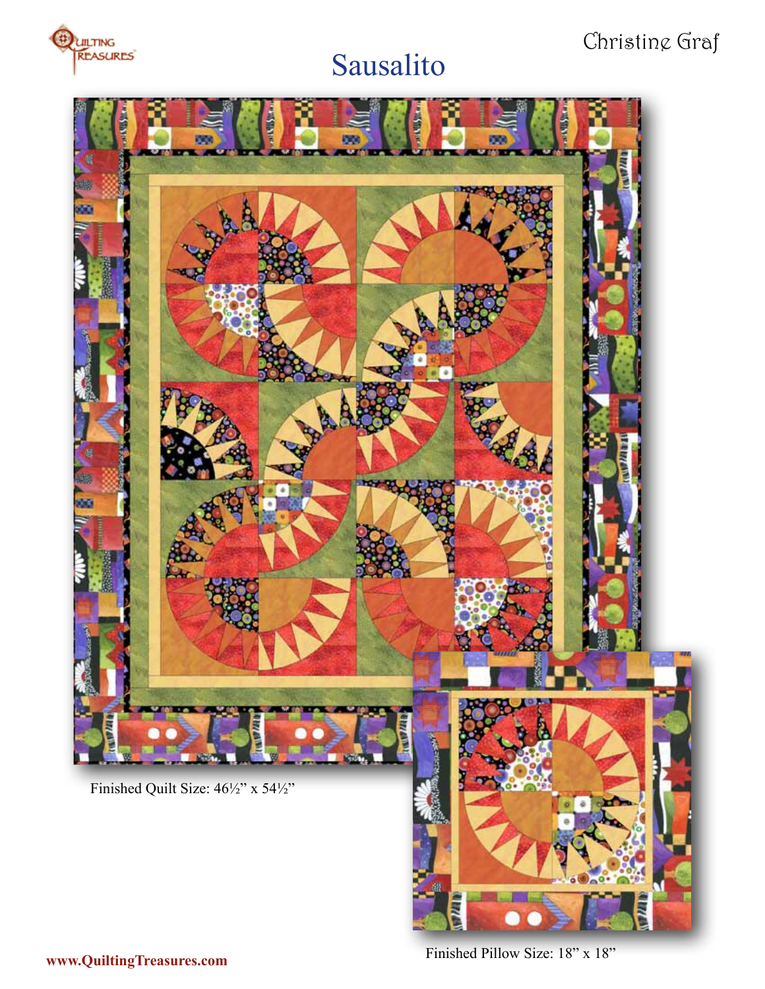

## Sausalito

## Christine Graf



**www.QuiltingTreasures.com** Finished Pillow Size: 18" x 18"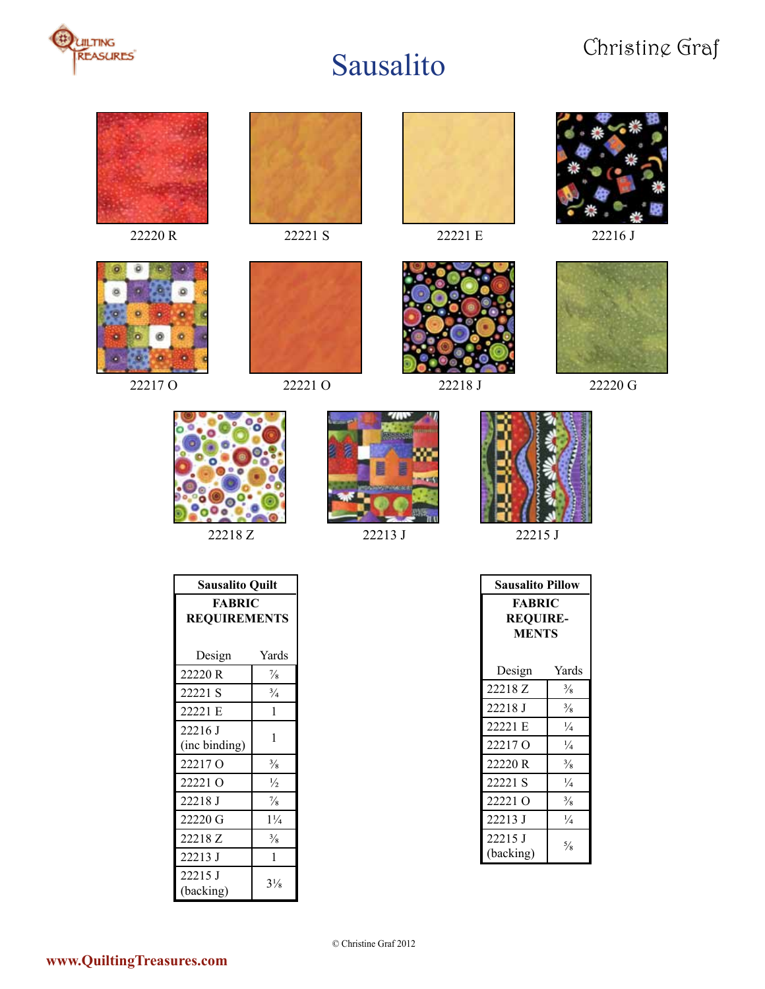









22220 R 22221 S 22221 E 22216 J



22217 O 22221 O 222218 J 222220 G











22218 Z 22213 J 22215 J

| <b>Sausalito Quilt</b>               |                |  |
|--------------------------------------|----------------|--|
| <b>FABRIC</b><br><b>REQUIREMENTS</b> |                |  |
| Design                               | Yards          |  |
| 22220 R                              | $\frac{7}{8}$  |  |
| 22221 S                              | $\frac{3}{4}$  |  |
| 22221 E                              | 1              |  |
| 22216 J                              | 1              |  |
| (inc binding)                        |                |  |
| 22217 <sub>0</sub>                   | $\frac{3}{8}$  |  |
| 22221 O                              | $\frac{1}{2}$  |  |
| 22218 J                              | $\frac{7}{8}$  |  |
| 22220 G                              | $1\frac{1}{4}$ |  |
| 22218 Z                              | $\frac{3}{8}$  |  |
| 22213 J                              | 1              |  |
| 22215 J<br>(backing)                 | $3\frac{1}{8}$ |  |

| Sausalito Pillow                                 |               |  |
|--------------------------------------------------|---------------|--|
| <b>FABRIC</b><br><b>REOUIRE-</b><br><b>MENTS</b> |               |  |
| Design                                           | Yards         |  |
| 22218 Z                                          | $\frac{3}{8}$ |  |
| 22218 J                                          | $\frac{3}{8}$ |  |
| 22221 E                                          | $\frac{1}{4}$ |  |
| 22217 Q                                          | $\frac{1}{4}$ |  |
| 22220 R                                          | $\frac{3}{8}$ |  |
| 22221 S                                          | $\frac{1}{4}$ |  |
| 22221 Q                                          | $\frac{3}{8}$ |  |
| 22213 J                                          | $\frac{1}{4}$ |  |
| 22215 J<br>(backing)                             | $\frac{5}{8}$ |  |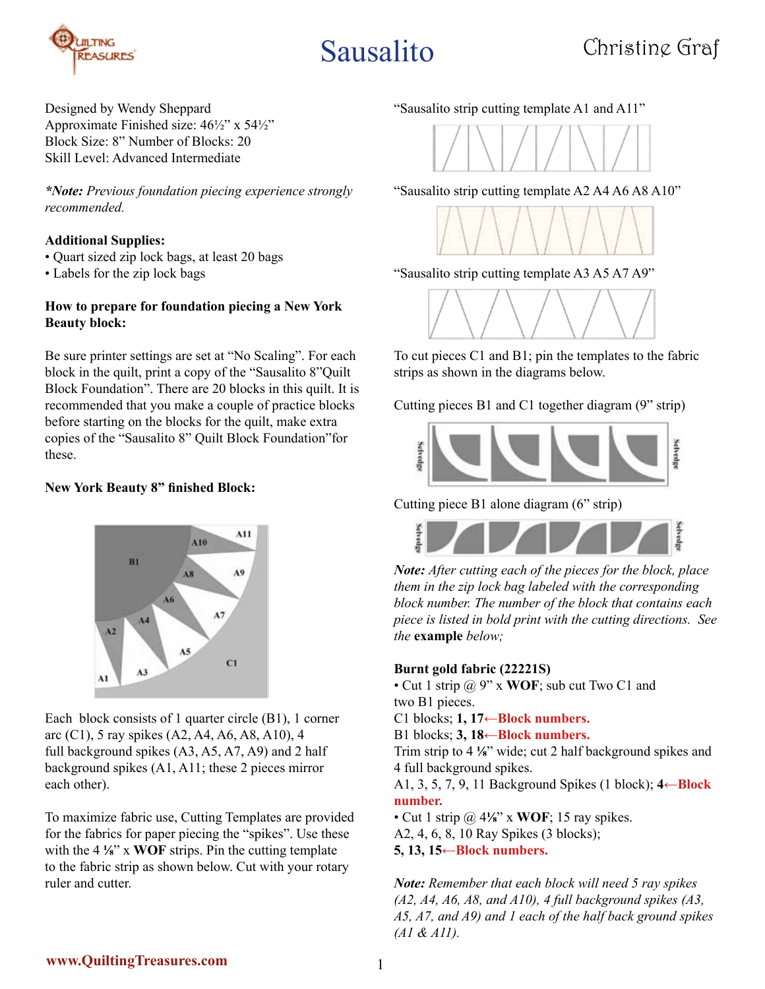

Designed by Wendy Sheppard Approximate Finished size: 46½" x 54½" Block Size: 8" Number of Blocks: 20 Skill Level: Advanced Intermediate

*\*Note: Previous foundation piecing experience strongly recommended.*

#### **Additional Supplies:**

- Quart sized zip lock bags, at least 20 bags
- Labels for the zip lock bags

#### **How to prepare for foundation piecing a New York Beauty block:**

Be sure printer settings are set at "No Scaling". For each block in the quilt, print a copy of the "Sausalito 8"Quilt Block Foundation". There are 20 blocks in this quilt. It is recommended that you make a couple of practice blocks before starting on the blocks for the quilt, make extra copies of the "Sausalito 8" Quilt Block Foundation"for these.

#### **New York Beauty 8" finished Block:**



Each block consists of 1 quarter circle (B1), 1 corner arc (C1), 5 ray spikes (A2, A4, A6, A8, A10), 4 full background spikes (A3, A5, A7, A9) and 2 half background spikes (A1, A11; these 2 pieces mirror each other).

To maximize fabric use, Cutting Templates are provided for the fabrics for paper piecing the "spikes". Use these with the 4 **⅛**" x **WOF** strips. Pin the cutting template to the fabric strip as shown below. Cut with your rotary ruler and cutter.

"Sausalito strip cutting template A1 and A11"



"Sausalito strip cutting template A2 A4 A6 A8 A10"



"Sausalito strip cutting template A3 A5 A7 A9"



To cut pieces C1 and B1; pin the templates to the fabric strips as shown in the diagrams below.

Cutting pieces B1 and C1 together diagram (9" strip)



Cutting piece B1 alone diagram (6" strip)



*Note: After cutting each of the pieces for the block, place them in the zip lock bag labeled with the corresponding block number. The number of the block that contains each piece is listed in bold print with the cutting directions. See the* **example** *below;*

#### **Burnt gold fabric (22221S)**

• Cut 1 strip @ 9" x **WOF**; sub cut Two C1 and two B1 pieces.

C1 blocks; **1, 17←Block numbers.**

B1 blocks; **3, 18←Block numbers.**

Trim strip to 4 **⅛**" wide; cut 2 half background spikes and 4 full background spikes.

A1, 3, 5, 7, 9, 11 Background Spikes (1 block); **4←Block number.**

• Cut 1 strip @ 4**⅛**" x **WOF**; 15 ray spikes. A2, 4, 6, 8, 10 Ray Spikes (3 blocks); **5, 13, 15←Block numbers.**

*Note: Remember that each block will need 5 ray spikes (A2, A4, A6, A8, and A10), 4 full background spikes (A3, A5, A7, and A9) and 1 each of the half back ground spikes (A1 & A11).*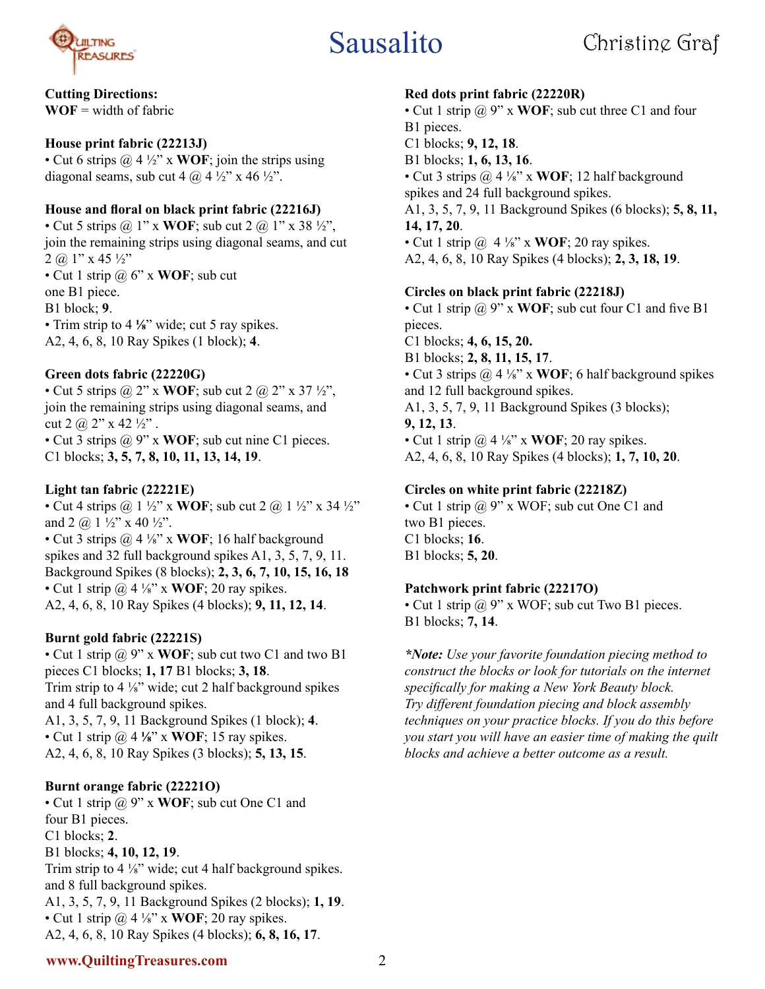

### **Cutting Directions:**

 $WOF = width of fabric$ 

### **House print fabric (22213J)**

• Cut 6 strips @ 4 ½" x **WOF**; join the strips using diagonal seams, sub cut 4  $\omega$  4  $\frac{1}{2}$ " x 46  $\frac{1}{2}$ ".

### **House and floral on black print fabric (22216J)**

• Cut 5 strips  $\omega$  1" x **WOF**; sub cut 2  $\omega$  1" x 38  $\frac{1}{2}$ ", join the remaining strips using diagonal seams, and cut  $2$  (a) 1" x 45  $\frac{1}{2}$ " • Cut 1 strip @ 6" x **WOF**; sub cut one B1 piece. B1 block; **9**. • Trim strip to 4 <sup>1</sup>/<sub>8</sub><sup>"</sup> wide; cut 5 ray spikes.

A2, 4, 6, 8, 10 Ray Spikes (1 block); **4**.

### **Green dots fabric (22220G)**

• Cut 5 strips  $\omega$  2" x **WOF**; sub cut 2  $\omega$  2" x 37  $\frac{1}{2}$ ", join the remaining strips using diagonal seams, and cut 2  $\omega$  2" x 42  $\frac{1}{2}$ ". • Cut 3 strips @ 9" x **WOF**; sub cut nine C1 pieces. C1 blocks; **3, 5, 7, 8, 10, 11, 13, 14, 19**.

### **Light tan fabric (22221E)**

• Cut 4 strips  $\omega$  1 ½" x **WOF**; sub cut 2  $\omega$  1 ½" x 34 ½" and 2  $\omega$  1  $\frac{1}{2}$ " x 40  $\frac{1}{2}$ ". • Cut 3 strips @ 4 ⅛" x **WOF**; 16 half background spikes and 32 full background spikes A1, 3, 5, 7, 9, 11. Background Spikes (8 blocks); **2, 3, 6, 7, 10, 15, 16, 18** • Cut 1 strip  $\omega$  4 <sup>1</sup>/<sub>8</sub>" x **WOF**; 20 ray spikes. A2, 4, 6, 8, 10 Ray Spikes (4 blocks); **9, 11, 12, 14**.

#### **Burnt gold fabric (22221S)**

• Cut 1 strip @ 9" x **WOF**; sub cut two C1 and two B1 pieces C1 blocks; **1, 17** B1 blocks; **3, 18**. Trim strip to 4 ⅛" wide; cut 2 half background spikes and 4 full background spikes. A1, 3, 5, 7, 9, 11 Background Spikes (1 block); **4**. • Cut 1 strip @ 4 **⅛**" x **WOF**; 15 ray spikes. A2, 4, 6, 8, 10 Ray Spikes (3 blocks); **5, 13, 15**.

#### **Burnt orange fabric (22221O)**

• Cut 1 strip @ 9" x **WOF**; sub cut One C1 and four B1 pieces. C1 blocks; **2**. B1 blocks; **4, 10, 12, 19**. Trim strip to 4 ⅛" wide; cut 4 half background spikes. and 8 full background spikes. A1, 3, 5, 7, 9, 11 Background Spikes (2 blocks); **1, 19**. • Cut 1 strip  $\omega$  4 <sup>1</sup>/<sub>8</sub>" x **WOF**; 20 ray spikes. A2, 4, 6, 8, 10 Ray Spikes (4 blocks); **6, 8, 16, 17**.

#### **Red dots print fabric (22220R)**

• Cut 1 strip @ 9" x **WOF**; sub cut three C1 and four B1 pieces. C1 blocks; **9, 12, 18**. B1 blocks; **1, 6, 13, 16**. • Cut 3 strips @ 4 ⅛" x **WOF**; 12 half background spikes and 24 full background spikes. A1, 3, 5, 7, 9, 11 Background Spikes (6 blocks); **5, 8, 11, 14, 17, 20**. • Cut 1 strip  $\omega$  4  $\frac{1}{8}$ " x **WOF**; 20 ray spikes. A2, 4, 6, 8, 10 Ray Spikes (4 blocks); **2, 3, 18, 19**.

#### **Circles on black print fabric (22218J)**

• Cut 1 strip @ 9" x **WOF**; sub cut four C1 and five B1 pieces.

C1 blocks; **4, 6, 15, 20.** B1 blocks; **2, 8, 11, 15, 17**. • Cut 3 strips @ 4 ⅛" x **WOF**; 6 half background spikes and 12 full background spikes. A1, 3, 5, 7, 9, 11 Background Spikes (3 blocks); **9, 12, 13**.

• Cut 1 strip  $\omega$  4 <sup>1</sup>/<sub>8</sub>" x **WOF**; 20 ray spikes. A2, 4, 6, 8, 10 Ray Spikes (4 blocks); **1, 7, 10, 20**.

### **Circles on white print fabric (22218Z)**

• Cut 1 strip @ 9" x WOF; sub cut One C1 and two B1 pieces. C1 blocks; **16**. B1 blocks; **5, 20**.

#### **Patchwork print fabric (22217O)**

• Cut 1 strip  $\omega$  9" x WOF; sub cut Two B1 pieces. B1 blocks; **7, 14**.

*\*Note: Use your favorite foundation piecing method to construct the blocks or look for tutorials on the internet specifically for making a New York Beauty block. Try different foundation piecing and block assembly techniques on your practice blocks. If you do this before you start you will have an easier time of making the quilt blocks and achieve a better outcome as a result.*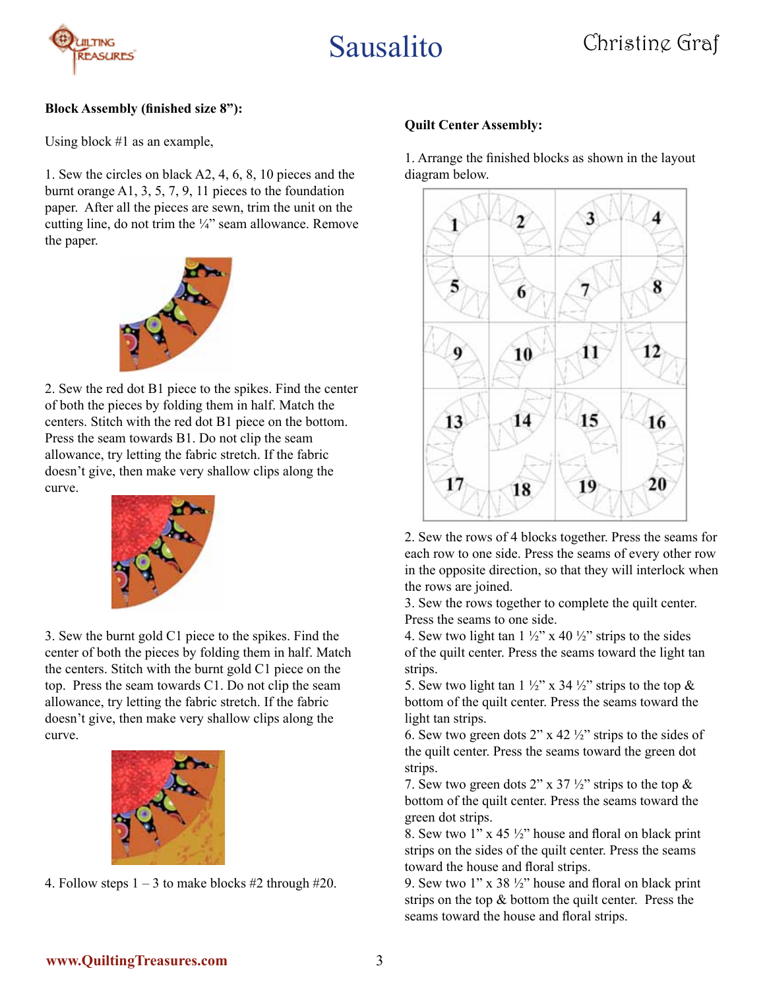

#### **Block Assembly (finished size 8"):**

Using block #1 as an example,

1. Sew the circles on black A2, 4, 6, 8, 10 pieces and the burnt orange A1, 3, 5, 7, 9, 11 pieces to the foundation paper. After all the pieces are sewn, trim the unit on the cutting line, do not trim the ¼" seam allowance. Remove the paper.



2. Sew the red dot B1 piece to the spikes. Find the center of both the pieces by folding them in half. Match the centers. Stitch with the red dot B1 piece on the bottom. Press the seam towards B1. Do not clip the seam allowance, try letting the fabric stretch. If the fabric doesn't give, then make very shallow clips along the curve.



3. Sew the burnt gold C1 piece to the spikes. Find the center of both the pieces by folding them in half. Match the centers. Stitch with the burnt gold C1 piece on the top. Press the seam towards C1. Do not clip the seam allowance, try letting the fabric stretch. If the fabric doesn't give, then make very shallow clips along the curve.



4. Follow steps  $1 - 3$  to make blocks #2 through #20.

#### **Quilt Center Assembly:**

1. Arrange the finished blocks as shown in the layout diagram below.



2. Sew the rows of 4 blocks together. Press the seams for each row to one side. Press the seams of every other row in the opposite direction, so that they will interlock when the rows are joined.

3. Sew the rows together to complete the quilt center. Press the seams to one side.

4. Sew two light tan  $1\frac{1}{2}$ " x 40  $\frac{1}{2}$ " strips to the sides of the quilt center. Press the seams toward the light tan strips.

5. Sew two light tan  $1\frac{1}{2}$ " x 34  $\frac{1}{2}$ " strips to the top  $\&$ bottom of the quilt center. Press the seams toward the light tan strips.

6. Sew two green dots  $2^{\prime\prime}$  x 42  $\frac{1}{2}^{\prime\prime}$  strips to the sides of the quilt center. Press the seams toward the green dot strips.

7. Sew two green dots 2" x 37  $\frac{1}{2}$ " strips to the top & bottom of the quilt center. Press the seams toward the green dot strips.

8. Sew two  $1''$  x 45  $\frac{1}{2}''$  house and floral on black print strips on the sides of the quilt center. Press the seams toward the house and floral strips.

9. Sew two  $1$ " x 38  $\frac{1}{2}$ " house and floral on black print strips on the top & bottom the quilt center. Press the seams toward the house and floral strips.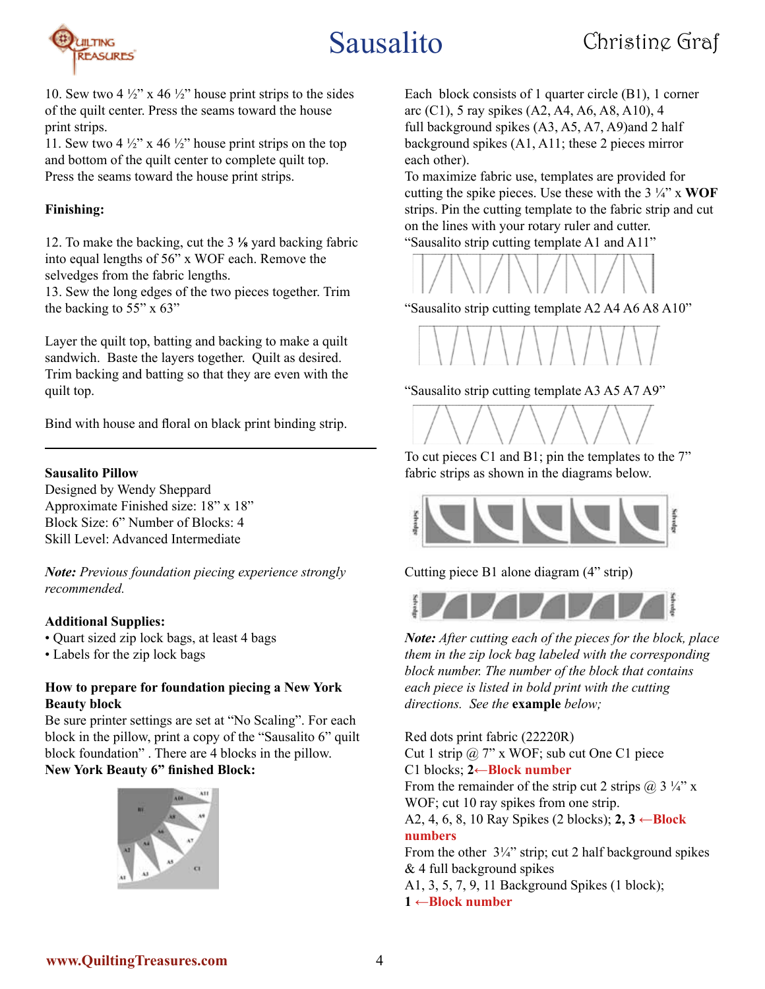

10. Sew two 4  $\frac{1}{2}$ " x 46  $\frac{1}{2}$ " house print strips to the sides of the quilt center. Press the seams toward the house print strips.

11. Sew two 4  $\frac{1}{2}$ " x 46  $\frac{1}{2}$ " house print strips on the top and bottom of the quilt center to complete quilt top. Press the seams toward the house print strips.

#### **Finishing:**

12. To make the backing, cut the 3 **⅛** yard backing fabric into equal lengths of 56" x WOF each. Remove the selvedges from the fabric lengths.

13. Sew the long edges of the two pieces together. Trim the backing to 55" x 63"

Layer the quilt top, batting and backing to make a quilt sandwich. Baste the layers together. Quilt as desired. Trim backing and batting so that they are even with the quilt top.

Bind with house and floral on black print binding strip.

#### **Sausalito Pillow**

Designed by Wendy Sheppard Approximate Finished size: 18" x 18" Block Size: 6" Number of Blocks: 4 Skill Level: Advanced Intermediate

*Note: Previous foundation piecing experience strongly recommended.*

#### **Additional Supplies:**

• Quart sized zip lock bags, at least 4 bags

• Labels for the zip lock bags

#### **How to prepare for foundation piecing a New York Beauty block**

Be sure printer settings are set at "No Scaling". For each block in the pillow, print a copy of the "Sausalito 6" quilt block foundation" . There are 4 blocks in the pillow. **New York Beauty 6" finished Block:** 



Each block consists of 1 quarter circle (B1), 1 corner arc (C1), 5 ray spikes (A2, A4, A6, A8, A10), 4 full background spikes (A3, A5, A7, A9)and 2 half background spikes (A1, A11; these 2 pieces mirror each other).

To maximize fabric use, templates are provided for cutting the spike pieces. Use these with the 3 ¼" x **WOF** strips. Pin the cutting template to the fabric strip and cut on the lines with your rotary ruler and cutter. "Sausalito strip cutting template A1 and A11"



"Sausalito strip cutting template A2 A4 A6 A8 A10"



"Sausalito strip cutting template A3 A5 A7 A9"



To cut pieces C1 and B1; pin the templates to the 7" fabric strips as shown in the diagrams below.



Cutting piece B1 alone diagram (4" strip)



*Note: After cutting each of the pieces for the block, place them in the zip lock bag labeled with the corresponding block number. The number of the block that contains each piece is listed in bold print with the cutting directions. See the* **example** *below;*

Red dots print fabric (22220R) Cut 1 strip @ 7" x WOF; sub cut One C1 piece C1 blocks; **2←Block number** From the remainder of the strip cut 2 strips  $(a)$  3  $\frac{1}{4}$  x WOF; cut 10 ray spikes from one strip. A2, 4, 6, 8, 10 Ray Spikes (2 blocks); **2, 3 ←Block numbers** From the other  $3\frac{1}{4}$ " strip; cut 2 half background spikes & 4 full background spikes A1, 3, 5, 7, 9, 11 Background Spikes (1 block); **1 ←Block number**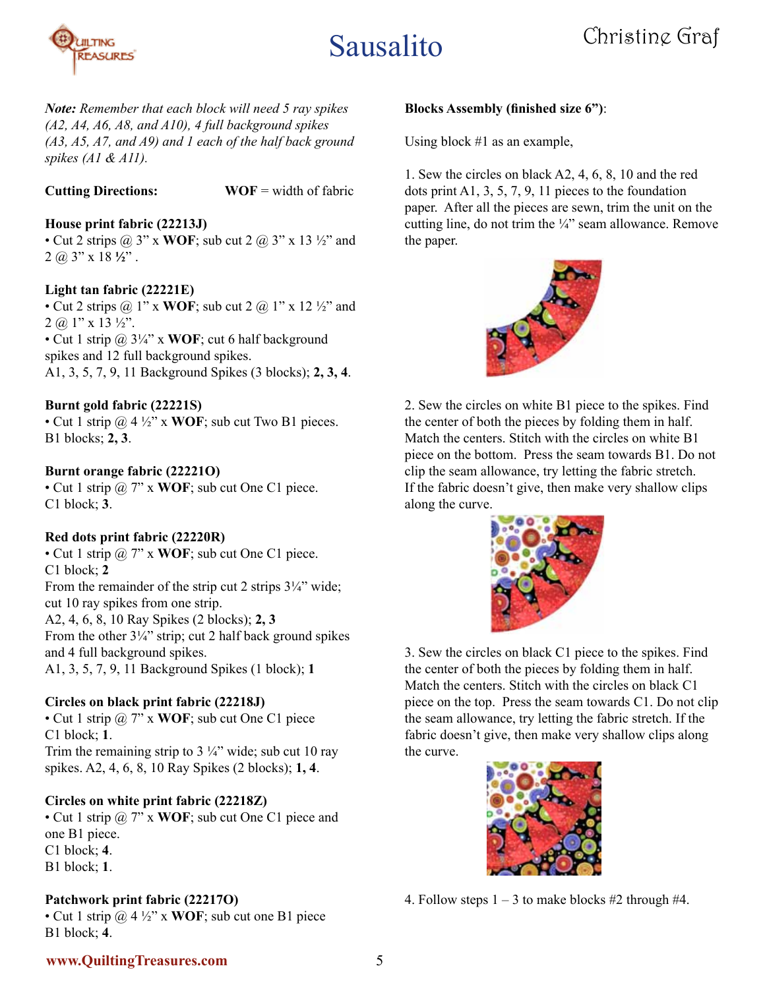

*Note: Remember that each block will need 5 ray spikes (A2, A4, A6, A8, and A10), 4 full background spikes (A3, A5, A7, and A9) and 1 each of the half back ground spikes (A1 & A11).*

**Cutting Directions: WOF** = width of fabric

### **House print fabric (22213J)**

• Cut 2 strips  $\omega$  3" x **WOF**; sub cut 2  $\omega$  3" x 13  $\frac{1}{2}$ " and 2 @ 3" x 18 **½**" .

#### **Light tan fabric (22221E)**

• Cut 2 strips  $\omega$  1" x **WOF**; sub cut 2  $\omega$  1" x 12  $\frac{1}{2}$ " and  $2$  (a) 1" x 13  $\frac{1}{2}$ ".

• Cut 1 strip @ 3¼" x **WOF**; cut 6 half background spikes and 12 full background spikes. A1, 3, 5, 7, 9, 11 Background Spikes (3 blocks); **2, 3, 4**.

#### **Burnt gold fabric (22221S)**

• Cut 1 strip @ 4 ½" x **WOF**; sub cut Two B1 pieces. B1 blocks; **2, 3**.

#### **Burnt orange fabric (22221O)**

• Cut 1 strip @ 7" x **WOF**; sub cut One C1 piece. C1 block; **3**.

#### **Red dots print fabric (22220R)**

• Cut 1 strip @ 7" x **WOF**; sub cut One C1 piece. C1 block; **2** From the remainder of the strip cut 2 strips  $3\frac{1}{4}$ " wide; cut 10 ray spikes from one strip. A2, 4, 6, 8, 10 Ray Spikes (2 blocks); **2, 3** From the other  $3\frac{1}{4}$ " strip; cut 2 half back ground spikes and 4 full background spikes. A1, 3, 5, 7, 9, 11 Background Spikes (1 block); **1**

#### **Circles on black print fabric (22218J)**

• Cut 1 strip @ 7" x **WOF**; sub cut One C1 piece C1 block; **1**. Trim the remaining strip to  $3\frac{1}{4}$ " wide; sub cut 10 ray

spikes. A2, 4, 6, 8, 10 Ray Spikes (2 blocks); **1, 4**.

#### **Circles on white print fabric (22218Z)**

• Cut 1 strip @ 7" x **WOF**; sub cut One C1 piece and one B1 piece. C1 block; **4**. B1 block; **1**.

### **Patchwork print fabric (22217O)**

• Cut 1 strip @ 4 ½" x **WOF**; sub cut one B1 piece B1 block; **4**.

#### **Blocks Assembly (finished size 6")**:

Using block #1 as an example,

1. Sew the circles on black A2, 4, 6, 8, 10 and the red dots print A1, 3, 5, 7, 9, 11 pieces to the foundation paper. After all the pieces are sewn, trim the unit on the cutting line, do not trim the ¼" seam allowance. Remove the paper.



2. Sew the circles on white B1 piece to the spikes. Find the center of both the pieces by folding them in half. Match the centers. Stitch with the circles on white B1 piece on the bottom. Press the seam towards B1. Do not clip the seam allowance, try letting the fabric stretch. If the fabric doesn't give, then make very shallow clips along the curve.



3. Sew the circles on black C1 piece to the spikes. Find the center of both the pieces by folding them in half. Match the centers. Stitch with the circles on black C1 piece on the top. Press the seam towards C1. Do not clip the seam allowance, try letting the fabric stretch. If the fabric doesn't give, then make very shallow clips along the curve.



4. Follow steps  $1 - 3$  to make blocks #2 through #4.

#### **www.QuiltingTreasures.com**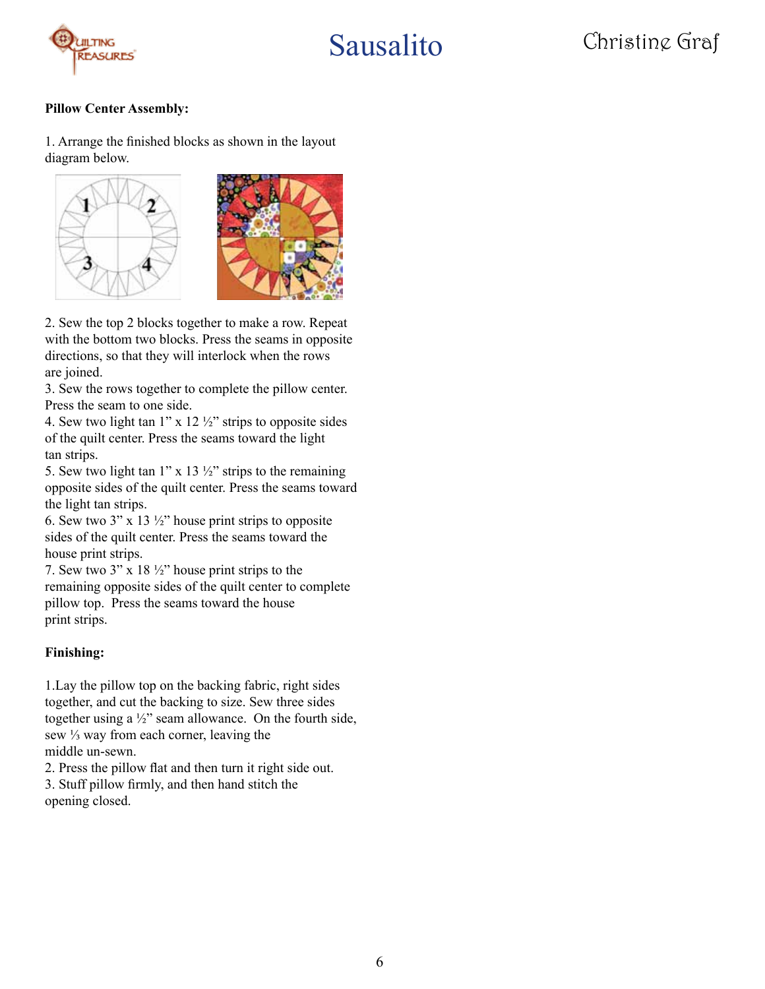

#### **Pillow Center Assembly:**

1. Arrange the finished blocks as shown in the layout diagram below.





2. Sew the top 2 blocks together to make a row. Repeat with the bottom two blocks. Press the seams in opposite directions, so that they will interlock when the rows are joined.

3. Sew the rows together to complete the pillow center. Press the seam to one side.

4. Sew two light tan  $1"$  x  $12\frac{1}{2}$ " strips to opposite sides of the quilt center. Press the seams toward the light tan strips.

5. Sew two light tan 1" x 13  $\frac{1}{2}$ " strips to the remaining opposite sides of the quilt center. Press the seams toward the light tan strips.

6. Sew two 3" x 13  $\frac{1}{2}$ " house print strips to opposite sides of the quilt center. Press the seams toward the house print strips.

7. Sew two  $3''$  x 18  $\frac{1}{2}$ " house print strips to the remaining opposite sides of the quilt center to complete pillow top. Press the seams toward the house print strips.

#### **Finishing:**

1.Lay the pillow top on the backing fabric, right sides together, and cut the backing to size. Sew three sides together using a ½" seam allowance. On the fourth side, sew ⅓ way from each corner, leaving the middle un-sewn.

2. Press the pillow flat and then turn it right side out. 3. Stuff pillow firmly, and then hand stitch the opening closed.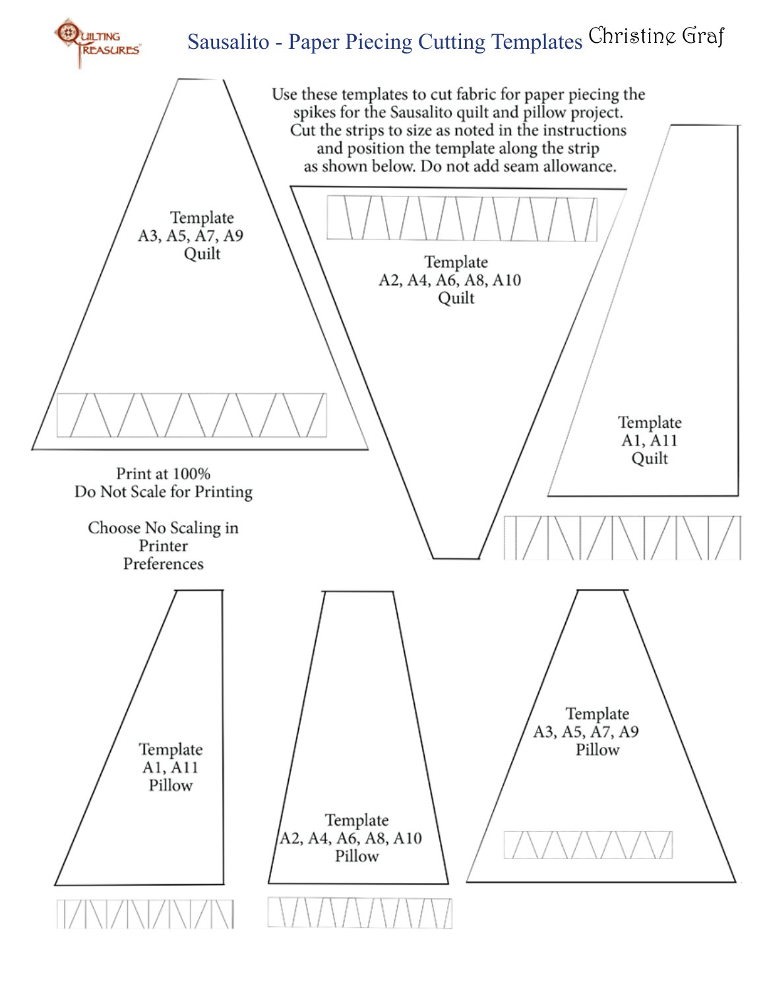

## Sausalito - Paper Piecing Cutting Templates Christine Graf

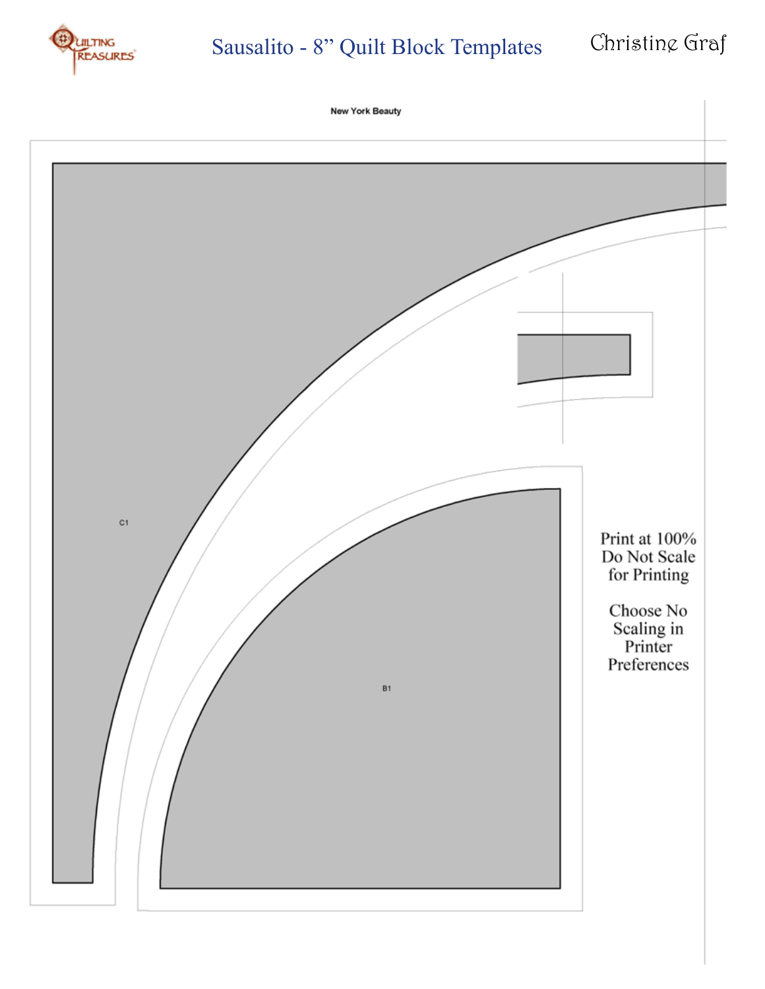

## Sausalito - 8" Quilt Block Templates Christing Graf

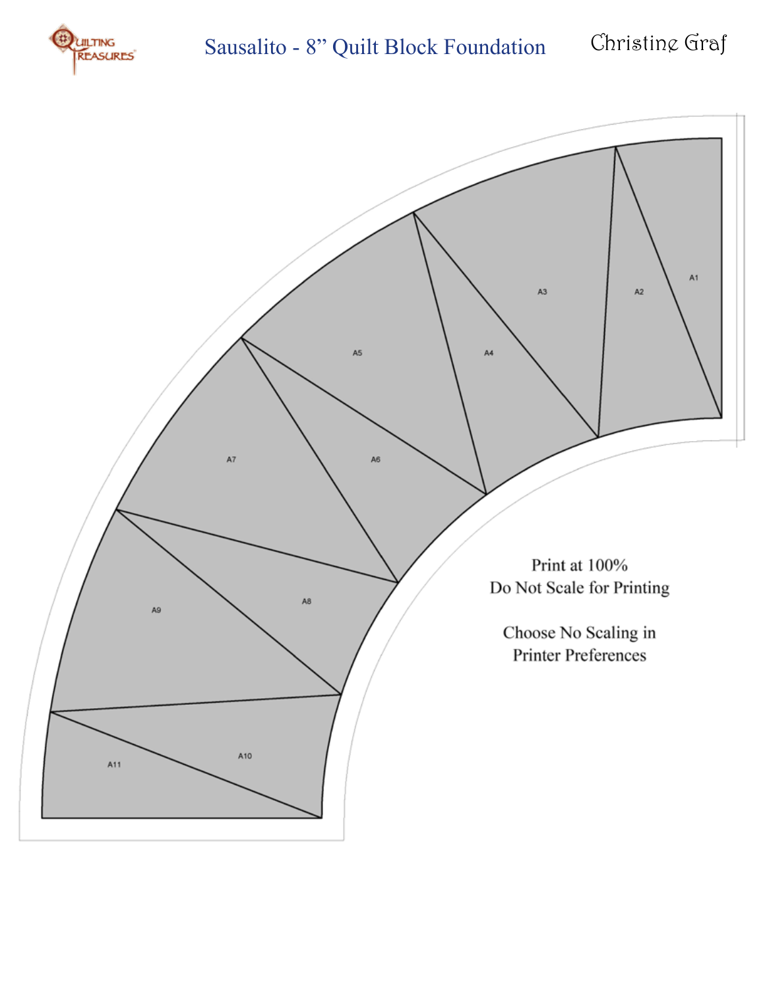

## Sausalito - 8" Quilt Block Foundation Christing Graf